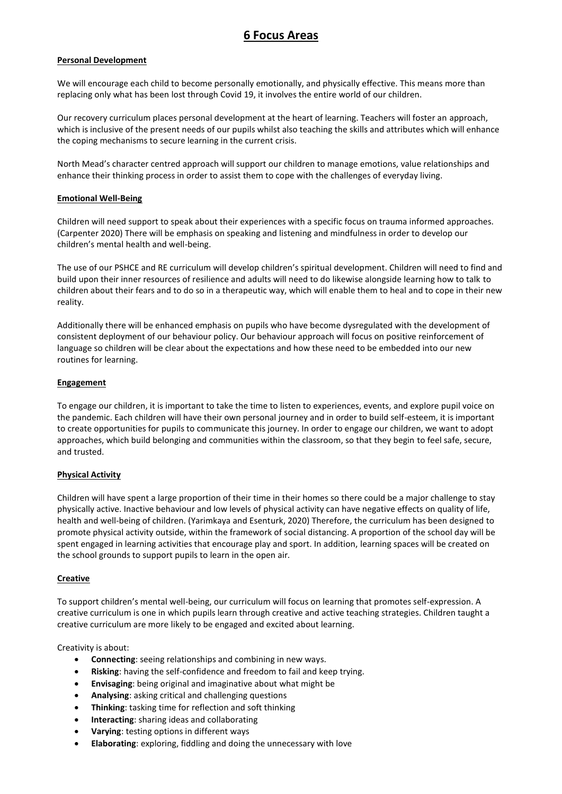# **6 Focus Areas**

### **Personal Development**

We will encourage each child to become personally emotionally, and physically effective. This means more than replacing only what has been lost through Covid 19, it involves the entire world of our children.

Our recovery curriculum places personal development at the heart of learning. Teachers will foster an approach, which is inclusive of the present needs of our pupils whilst also teaching the skills and attributes which will enhance the coping mechanisms to secure learning in the current crisis.

North Mead's character centred approach will support our children to manage emotions, value relationships and enhance their thinking process in order to assist them to cope with the challenges of everyday living.

#### **Emotional Well-Being**

Children will need support to speak about their experiences with a specific focus on trauma informed approaches. (Carpenter 2020) There will be emphasis on speaking and listening and mindfulness in order to develop our children's mental health and well-being.

The use of our PSHCE and RE curriculum will develop children's spiritual development. Children will need to find and build upon their inner resources of resilience and adults will need to do likewise alongside learning how to talk to children about their fears and to do so in a therapeutic way, which will enable them to heal and to cope in their new reality.

Additionally there will be enhanced emphasis on pupils who have become dysregulated with the development of consistent deployment of our behaviour policy. Our behaviour approach will focus on positive reinforcement of language so children will be clear about the expectations and how these need to be embedded into our new routines for learning.

### **Engagement**

To engage our children, it is important to take the time to listen to experiences, events, and explore pupil voice on the pandemic. Each children will have their own personal journey and in order to build self-esteem, it is important to create opportunities for pupils to communicate this journey. In order to engage our children, we want to adopt approaches, which build belonging and communities within the classroom, so that they begin to feel safe, secure, and trusted.

# **Physical Activity**

Children will have spent a large proportion of their time in their homes so there could be a major challenge to stay physically active. Inactive behaviour and low levels of physical activity can have negative effects on quality of life, health and well-being of children. (Yarimkaya and Esenturk, 2020) Therefore, the curriculum has been designed to promote physical activity outside, within the framework of social distancing. A proportion of the school day will be spent engaged in learning activities that encourage play and sport. In addition, learning spaces will be created on the school grounds to support pupils to learn in the open air.

# **Creative**

To support children's mental well-being, our curriculum will focus on learning that promotes self-expression. A creative curriculum is one in which pupils learn through creative and active teaching strategies. Children taught a creative curriculum are more likely to be engaged and excited about learning.

#### Creativity is about:

- **Connecting**: seeing relationships and combining in new ways.
- **Risking**: having the self-confidence and freedom to fail and keep trying.
- **Envisaging**: being original and imaginative about what might be
- **Analysing**: asking critical and challenging questions
- **Thinking**: tasking time for reflection and soft thinking
- **Interacting**: sharing ideas and collaborating
- **Varying**: testing options in different ways
- **Elaborating**: exploring, fiddling and doing the unnecessary with love